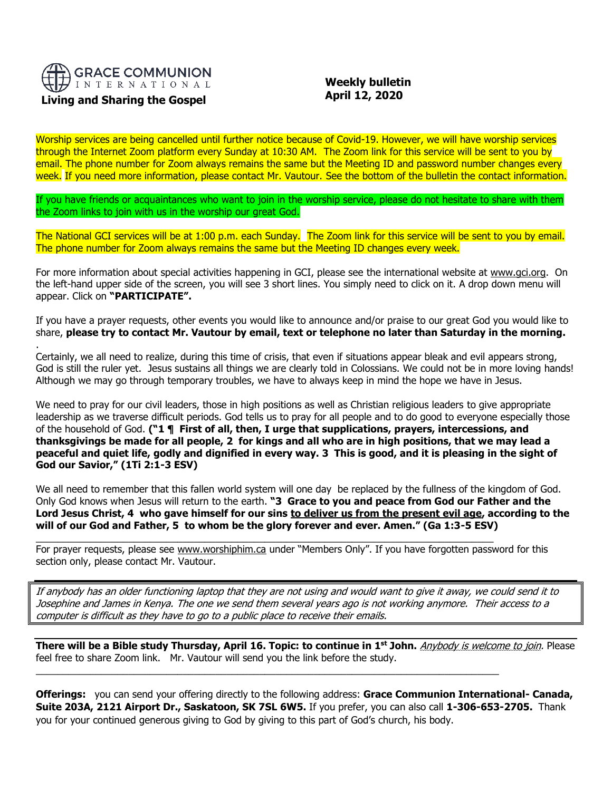

### **Living and Sharing the Gospel**

.

 **Weekly bulletin April 12, 2020**

Worship services are being cancelled until further notice because of Covid-19. However, we will have worship services through the Internet Zoom platform every Sunday at 10:30 AM. The Zoom link for this service will be sent to you by email. The phone number for Zoom always remains the same but the Meeting ID and password number changes every week. If you need more information, please contact Mr. Vautour. See the bottom of the bulletin the contact information.

If you have friends or acquaintances who want to join in the worship service, please do not hesitate to share with them the Zoom links to join with us in the worship our great God.

The National GCI services will be at 1:00 p.m. each Sunday. The Zoom link for this service will be sent to you by email. The phone number for Zoom always remains the same but the Meeting ID changes every week.

For more information about special activities happening in GCI, please see the international website at [www.gci.org.](http://www.gci.org/) On the left-hand upper side of the screen, you will see 3 short lines. You simply need to click on it. A drop down menu will appear. Click on **"PARTICIPATE".** 

If you have a prayer requests, other events you would like to announce and/or praise to our great God you would like to share, **please try to contact Mr. Vautour by email, text or telephone no later than Saturday in the morning.**

Certainly, we all need to realize, during this time of crisis, that even if situations appear bleak and evil appears strong, God is still the ruler yet. Jesus sustains all things we are clearly told in Colossians. We could not be in more loving hands! Although we may go through temporary troubles, we have to always keep in mind the hope we have in Jesus.

We need to pray for our civil leaders, those in high positions as well as Christian religious leaders to give appropriate leadership as we traverse difficult periods. God tells us to pray for all people and to do good to everyone especially those of the household of God. **("1 ¶ First of all, then, I urge that supplications, prayers, intercessions, and thanksgivings be made for all people, 2 for kings and all who are in high positions, that we may lead a peaceful and quiet life, godly and dignified in every way. 3 This is good, and it is pleasing in the sight of God our Savior," (1Ti 2:1-3 ESV)**

We all need to remember that this fallen world system will one day be replaced by the fullness of the kingdom of God. Only God knows when Jesus will return to the earth. **"3 Grace to you and peace from God our Father and the Lord Jesus Christ, 4 who gave himself for our sins to deliver us from the present evil age, according to the will of our God and Father, 5 to whom be the glory forever and ever. Amen." (Ga 1:3-5 ESV)**

For prayer requests, please see [www.worshiphim.ca](http://www.worshiphim.ca/) under "Members Only". If you have forgotten password for this section only, please contact Mr. Vautour.

 $\_$  , and the set of the set of the set of the set of the set of the set of the set of the set of the set of the set of the set of the set of the set of the set of the set of the set of the set of the set of the set of th

 $\_$  , and the set of the set of the set of the set of the set of the set of the set of the set of the set of the set of the set of the set of the set of the set of the set of the set of the set of the set of the set of th

If anybody has an older functioning laptop that they are not using and would want to give it away, we could send it to Josephine and James in Kenya. The one we send them several years ago is not working anymore. Their access to a computer is difficult as they have to go to a public place to receive their emails.

**There will be a Bible study Thursday, April 16. Topic: to continue in 1 st John.** Anybody is welcome to join. Please feel free to share Zoom link. Mr. Vautour will send you the link before the study.

**Offerings:** you can send your offering directly to the following address: **Grace Communion International- Canada, Suite 203A, 2121 Airport Dr., Saskatoon, SK 7SL 6W5.** If you prefer, you can also call **1-306-653-2705.** Thank you for your continued generous giving to God by giving to this part of God's church, his body.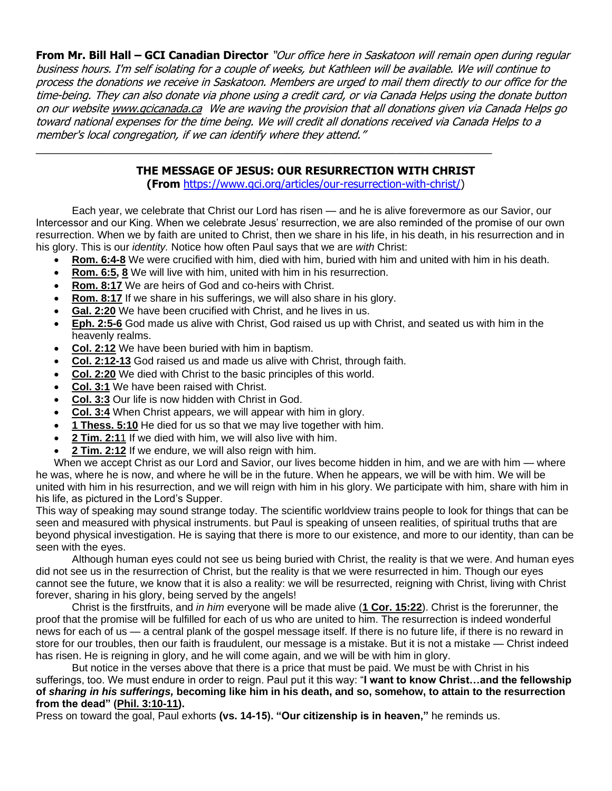**From Mr. Bill Hall – GCI Canadian Director** "Our office here in Saskatoon will remain open during regular business hours. I'm self isolating for a couple of weeks, but Kathleen will be available. We will continue to process the donations we receive in Saskatoon. Members are urged to mail them directly to our office for the time-being. They can also donate via phone using a credit card, or via Canada Helps using the donate button on our websit[e www.gcicanada.ca](https://eur03.safelinks.protection.outlook.com/?url=http%3A%2F%2Fwww.gcicanada.ca%2F&data=02%7C01%7C%7C9fd93e29c2b44509e5a008d7caa78fdb%7C84df9e7fe9f640afb435aaaaaaaaaaaa%7C1%7C0%7C637200693331983394&sdata=VAGy4Q%2BxbhHuYaeEiDz%2FQyicT%2FoiY4Ir9kc8w5yHRPs%3D&reserved=0) We are waving the provision that all donations given via Canada Helps go toward national expenses for the time being. We will credit all donations received via Canada Helps to a member's local congregation, if we can identify where they attend."

# **THE MESSAGE OF JESUS: OUR RESURRECTION WITH CHRIST**

\_\_\_\_\_\_\_\_\_\_\_\_\_\_\_\_\_\_\_\_\_\_\_\_\_\_\_\_\_\_\_\_\_\_\_\_\_\_\_\_\_\_\_\_\_\_\_\_\_\_\_\_\_\_\_\_\_\_\_\_\_\_\_\_\_\_\_\_\_\_\_\_\_\_\_\_

**(From** [https://www.gci.org/articles/our-resurrection-with-christ/\)](https://www.gci.org/articles/our-resurrection-with-christ/)

Each year, we celebrate that Christ our Lord has risen — and he is alive forevermore as our Savior, our Intercessor and our King. When we celebrate Jesus' resurrection, we are also reminded of the promise of our own resurrection. When we by faith are united to Christ, then we share in his life, in his death, in his resurrection and in his glory. This is our *identity.* Notice how often Paul says that we are *with* Christ:

- **[Rom. 6:4-8](https://biblia.com/bible/niv/Rom.%206.4-8)** We were crucified with him, died with him, buried with him and united with him in his death.
- **[Rom. 6:5,](https://biblia.com/bible/niv/Rom.%206.5) [8](https://biblia.com/bible/niv/Rom%206.8)** We will live with him, united with him in his resurrection.
- **[Rom. 8:17](https://biblia.com/bible/niv/Rom.%208.17)** We are heirs of God and co-heirs with Christ.
- **[Rom. 8:17](https://biblia.com/bible/niv/Rom.%208.17)** If we share in his sufferings, we will also share in his glory.
- **[Gal. 2:20](https://biblia.com/bible/niv/Gal.%202.20)** We have been crucified with Christ, and he lives in us.
- **[Eph. 2:5-6](https://biblia.com/bible/niv/Eph.%202.5-6)** God made us alive with Christ, God raised us up with Christ, and seated us with him in the heavenly realms.
- **[Col. 2:12](https://biblia.com/bible/niv/Col.%202.12)** We have been buried with him in baptism.
- **[Col. 2:12-13](https://biblia.com/bible/niv/Col.%202.12-13)** God raised us and made us alive with Christ, through faith.
- **[Col. 2:20](https://biblia.com/bible/niv/Col.%202.20)** We died with Christ to the basic principles of this world.
- **[Col. 3:1](https://biblia.com/bible/niv/Col.%203.1)** We have been raised with Christ.
- **[Col. 3:3](https://biblia.com/bible/niv/Col.%203.3)** Our life is now hidden with Christ in God.
- **[Col. 3:4](https://biblia.com/bible/niv/Col.%203.4)** When Christ appears, we will appear with him in glory.
- **[1 Thess. 5:10](https://biblia.com/bible/niv/1%20Thess.%205.10)** He died for us so that we may live together with him.
- **[2 Tim. 2:1](https://biblia.com/bible/niv/2%20Tim.%202.11)**1 If we died with him, we will also live with him.
- **[2 Tim. 2:12](https://biblia.com/bible/niv/2%20Tim.%202.12)** If we endure, we will also reign with him.

When we accept Christ as our Lord and Savior, our lives become hidden in him, and we are with him — where he was, where he is now, and where he will be in the future. When he appears, we will be with him. We will be united with him in his resurrection, and we will reign with him in his glory. We participate with him, share with him in his life, as pictured in the Lord's Supper.

This way of speaking may sound strange today. The scientific worldview trains people to look for things that can be seen and measured with physical instruments. but Paul is speaking of unseen realities, of spiritual truths that are beyond physical investigation. He is saying that there is more to our existence, and more to our identity, than can be seen with the eyes.

Although human eyes could not see us being buried with Christ, the reality is that we were. And human eyes did not see us in the resurrection of Christ, but the reality is that we were resurrected in him. Though our eyes cannot see the future, we know that it is also a reality: we will be resurrected, reigning with Christ, living with Christ forever, sharing in his glory, being served by the angels!

Christ is the firstfruits, and *in him* everyone will be made alive (**[1 Cor. 15:22](https://biblia.com/bible/niv/1%20Cor.%2015.22)**). Christ is the forerunner, the proof that the promise will be fulfilled for each of us who are united to him. The resurrection is indeed wonderful news for each of us — a central plank of the gospel message itself. If there is no future life, if there is no reward in store for our troubles, then our faith is fraudulent, our message is a mistake. But it is not a mistake — Christ indeed has risen. He is reigning in glory, and he will come again, and we will be with him in glory.

But notice in the verses above that there is a price that must be paid. We must be with Christ in his sufferings, too. We must endure in order to reign. Paul put it this way: "**I want to know Christ…and the fellowship of** *sharing in his sufferings,* **becoming like him in his death, and so, somehow, to attain to the resurrection from the dead" [\(Phil. 3:10-11\)](https://biblia.com/bible/niv/Phil.%203.10-11).**

Press on toward the goal, Paul exhorts **(vs. 14-15). "Our citizenship is in heaven,"** he reminds us.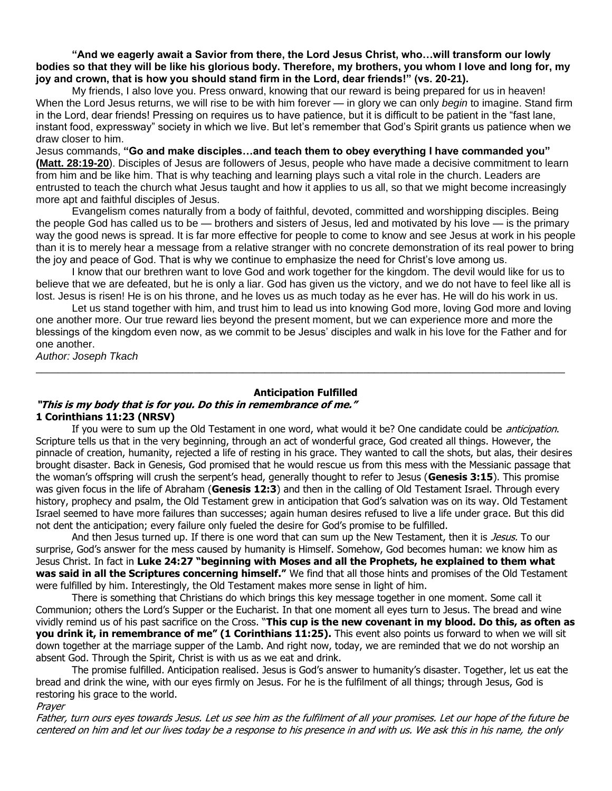**"And we eagerly await a Savior from there, the Lord Jesus Christ, who…will transform our lowly bodies so that they will be like his glorious body. Therefore, my brothers, you whom I love and long for, my joy and crown, that is how you should stand firm in the Lord, dear friends!" (vs. 20-21).**

My friends, I also love you. Press onward, knowing that our reward is being prepared for us in heaven! When the Lord Jesus returns, we will rise to be with him forever — in glory we can only *begin* to imagine. Stand firm in the Lord, dear friends! Pressing on requires us to have patience, but it is difficult to be patient in the "fast lane, instant food, expressway" society in which we live. But let's remember that God's Spirit grants us patience when we draw closer to him.

Jesus commands, **"Go and make disciples…and teach them to obey everything I have commanded you" [\(Matt. 28:19-20](https://biblia.com/bible/niv/Matt.%2028.19-20)**). Disciples of Jesus are followers of Jesus, people who have made a decisive commitment to learn from him and be like him. That is why teaching and learning plays such a vital role in the church. Leaders are entrusted to teach the church what Jesus taught and how it applies to us all, so that we might become increasingly more apt and faithful disciples of Jesus.

Evangelism comes naturally from a body of faithful, devoted, committed and worshipping disciples. Being the people God has called us to be — brothers and sisters of Jesus, led and motivated by his love — is the primary way the good news is spread. It is far more effective for people to come to know and see Jesus at work in his people than it is to merely hear a message from a relative stranger with no concrete demonstration of its real power to bring the joy and peace of God. That is why we continue to emphasize the need for Christ's love among us.

I know that our brethren want to love God and work together for the kingdom. The devil would like for us to believe that we are defeated, but he is only a liar. God has given us the victory, and we do not have to feel like all is lost. Jesus is risen! He is on his throne, and he loves us as much today as he ever has. He will do his work in us.

Let us stand together with him, and trust him to lead us into knowing God more, loving God more and loving one another more. Our true reward lies beyond the present moment, but we can experience more and more the blessings of the kingdom even now, as we commit to be Jesus' disciples and walk in his love for the Father and for one another.

*Author: Joseph Tkach*

#### **Anticipation Fulfilled**

 $\_$  ,  $\_$  ,  $\_$  ,  $\_$  ,  $\_$  ,  $\_$  ,  $\_$  ,  $\_$  ,  $\_$  ,  $\_$  ,  $\_$  ,  $\_$  ,  $\_$  ,  $\_$  ,  $\_$  ,  $\_$  ,  $\_$  ,  $\_$  ,  $\_$  ,  $\_$  ,  $\_$  ,  $\_$  ,  $\_$  ,  $\_$  ,  $\_$  ,  $\_$  ,  $\_$  ,  $\_$  ,  $\_$  ,  $\_$  ,  $\_$  ,  $\_$  ,  $\_$  ,  $\_$  ,  $\_$  ,  $\_$  ,  $\_$  ,

#### **"This is my body that is for you. Do this in remembrance of me." 1 Corinthians 11:23 (NRSV)**

If you were to sum up the Old Testament in one word, what would it be? One candidate could be *anticipation*. Scripture tells us that in the very beginning, through an act of wonderful grace, God created all things. However, the pinnacle of creation, humanity, rejected a life of resting in his grace. They wanted to call the shots, but alas, their desires brought disaster. Back in Genesis, God promised that he would rescue us from this mess with the Messianic passage that the woman's offspring will crush the serpent's head, generally thought to refer to Jesus (**Genesis 3:15**). This promise was given focus in the life of Abraham (**Genesis 12:3**) and then in the calling of Old Testament Israel. Through every history, prophecy and psalm, the Old Testament grew in anticipation that God's salvation was on its way. Old Testament Israel seemed to have more failures than successes; again human desires refused to live a life under grace. But this did not dent the anticipation; every failure only fueled the desire for God's promise to be fulfilled.

And then Jesus turned up. If there is one word that can sum up the New Testament, then it is *Jesus*. To our surprise, God's answer for the mess caused by humanity is Himself. Somehow, God becomes human: we know him as Jesus Christ. In fact in **Luke 24:27 "beginning with Moses and all the Prophets, he explained to them what was said in all the Scriptures concerning himself."** We find that all those hints and promises of the Old Testament were fulfilled by him. Interestingly, the Old Testament makes more sense in light of him.

There is something that Christians do which brings this key message together in one moment. Some call it Communion; others the Lord's Supper or the Eucharist. In that one moment all eyes turn to Jesus. The bread and wine vividly remind us of his past sacrifice on the Cross. "**This cup is the new covenant in my blood. Do this, as often as you drink it, in remembrance of me" (1 Corinthians 11:25).** This event also points us forward to when we will sit down together at the marriage supper of the Lamb. And right now, today, we are reminded that we do not worship an absent God. Through the Spirit, Christ is with us as we eat and drink.

The promise fulfilled. Anticipation realised. Jesus is God's answer to humanity's disaster. Together, let us eat the bread and drink the wine, with our eyes firmly on Jesus. For he is the fulfilment of all things; through Jesus, God is restoring his grace to the world.

#### Prayer

Father, turn ours eyes towards Jesus. Let us see him as the fulfilment of all your promises. Let our hope of the future be centered on him and let our lives today be a response to his presence in and with us. We ask this in his name, the only